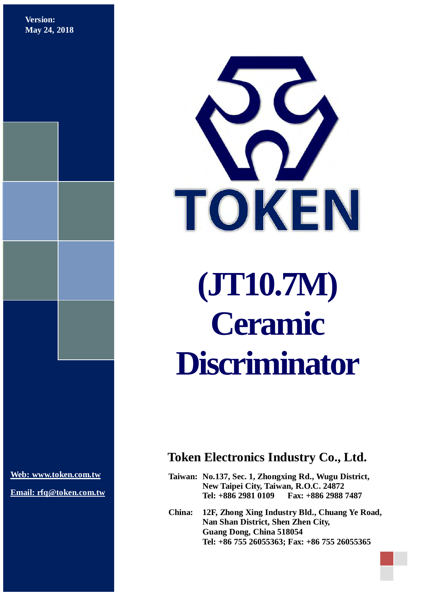**Version: May 24, 2018**



**[Web: www.token.com.tw](http://www.token.com.tw/)**

**Email: rfq@token.com.tw**

### **Token Electronics Industry Co., Ltd.**

**Taiwan: No.137, Sec. 1, Zhongxing Rd., Wugu District, New Taipei City, Taiwan, R.O.C. 24872 Tel: +886 2981 0109 Fax: +886 2988 7487**

**China: 12F, Zhong Xing Industry Bld., Chuang Ye Road, Nan Shan District, Shen Zhen City, Guang Dong, China 518054 Tel: +86 755 26055363; Fax: +86 755 26055365**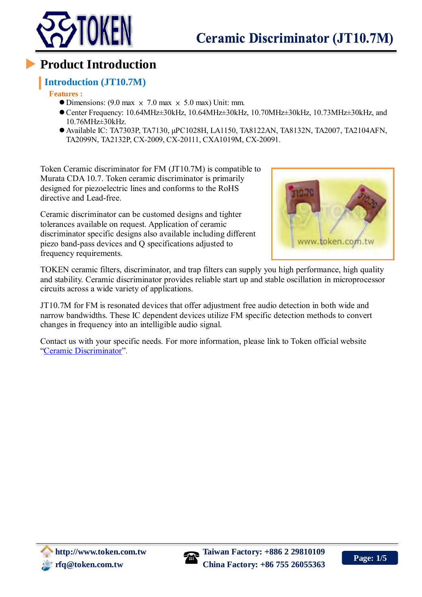

### **Product Introduction**

### **Introduction (JT10.7M)**

**Features :**

- $\bullet$  Dimensions: (9.0 max  $\times$  7.0 max  $\times$  5.0 max) Unit: mm.
- Center Frequency: 10.64MHz±30kHz, 10.64MHz±30kHz, 10.70MHz±30kHz, 10.73MHz±30kHz, and 10.76MHz±30kHz.
- Available IC: TA7303P, TA7130, μPC1028H, LA1150, TA8122AN, TA8132N, TA2007, TA2104AFN, TA2099N, TA2132P, CX-2009, CX-20111, CXA1019M, CX-20091.

Token Ceramic discriminator for FM (JT10.7M) is compatible to Murata CDA 10.7. Token ceramic discriminator is primarily designed for piezoelectric lines and conforms to the RoHS directive and Lead-free.

Ceramic discriminator can be customed designs and tighter tolerances available on request. Application of ceramic discriminator specific designs also available including different piezo band-pass devices and Q specifications adjusted to frequency requirements.



TOKEN ceramic filters, discriminator, and trap filters can supply you high performance, high quality and stability. Ceramic discriminator provides reliable start up and stable oscillation in microprocessor circuits across a wide variety of applications.

JT10.7M for FM is resonated devices that offer adjustment free audio detection in both wide and narrow bandwidths. These IC dependent devices utilize FM specific detection methods to convert changes in frequency into an intelligible audio signal.

Contact us with your specific needs. For more information, please link to Token official website ["Ceramic Discriminator"](http://www.token.com.tw/ceramic-discriminator/index.html).

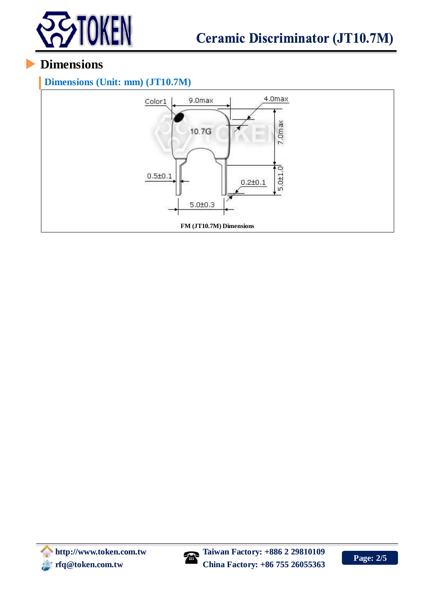

## **Dimensions**

**Dimensions (Unit: mm) (JT10.7M)**



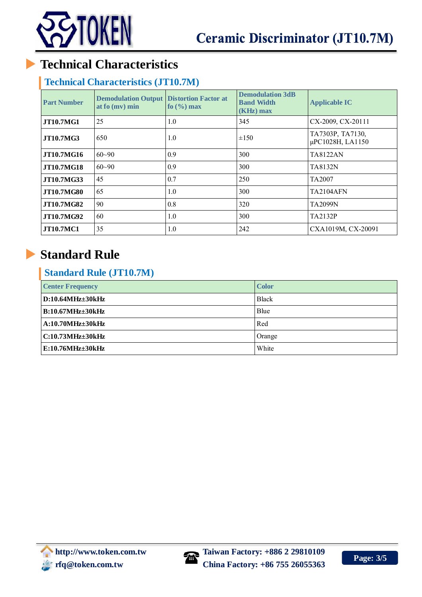

# **Technical Characteristics**

#### **Technical Characteristics (JT10.7M)**

| <b>Part Number</b> | <b>Demodulation Output</b><br>at fo (mv) min | <b>Distortion Factor at</b><br>fo $(\frac{9}{6})$ max | <b>Demodulation 3dB</b><br><b>Band Width</b><br>$(KHz)$ max | <b>Applicable IC</b>                 |  |
|--------------------|----------------------------------------------|-------------------------------------------------------|-------------------------------------------------------------|--------------------------------------|--|
| <b>JT10.7MG1</b>   | 25                                           | 1.0                                                   | 345                                                         | CX-2009, CX-20111                    |  |
| <b>JT10.7MG3</b>   | 650                                          | 1.0                                                   | $\pm 150$                                                   | TA7303P, TA7130,<br>μPC1028H, LA1150 |  |
| <b>JT10.7MG16</b>  | $60 - 90$                                    | 0.9                                                   | 300                                                         | <b>TA8122AN</b>                      |  |
| <b>JT10.7MG18</b>  | $60 - 90$                                    | 0.9                                                   | 300                                                         | TA8132N                              |  |
| JT10.7MG33         | 45                                           | 0.7                                                   | 250                                                         | TA <sub>2007</sub>                   |  |
| <b>JT10.7MG80</b>  | 65                                           | 1.0                                                   | 300                                                         | <b>TA2104AFN</b>                     |  |
| <b>JT10.7MG82</b>  | 90                                           | 0.8                                                   | 320                                                         | TA 2099N                             |  |
| <b>JT10.7MG92</b>  | 60                                           | 1.0                                                   | 300                                                         | <b>TA2132P</b>                       |  |
| <b>JT10.7MC1</b>   | 35                                           | 1.0                                                   | 242                                                         | CXA1019M, CX-20091                   |  |

# **Standard Rule**

### **Standard Rule (JT10.7M)**

| <b>Center Frequency</b> | <b>Color</b>  |  |
|-------------------------|---------------|--|
| $D:10.64MHz\pm30kHz$    | <b>Black</b>  |  |
| <b>B:10.67MHz±30kHz</b> | Blue          |  |
| $A:10.70MHz\pm30kHz$    | Red           |  |
| C:10.73MHz±30kHz        | <b>Orange</b> |  |
| E:10.76MHz±30kHz        | White         |  |

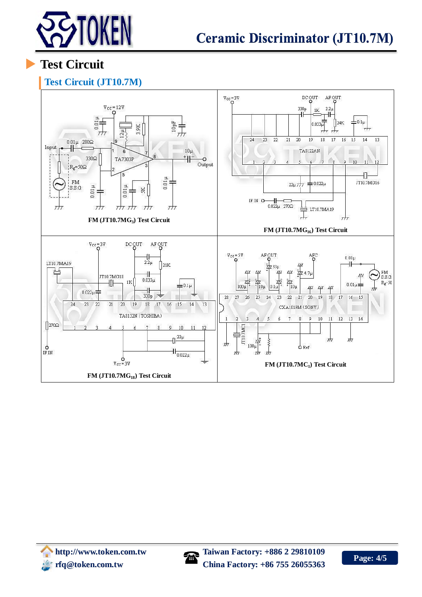

**Test Circuit**

### **Test Circuit (JT10.7M)**